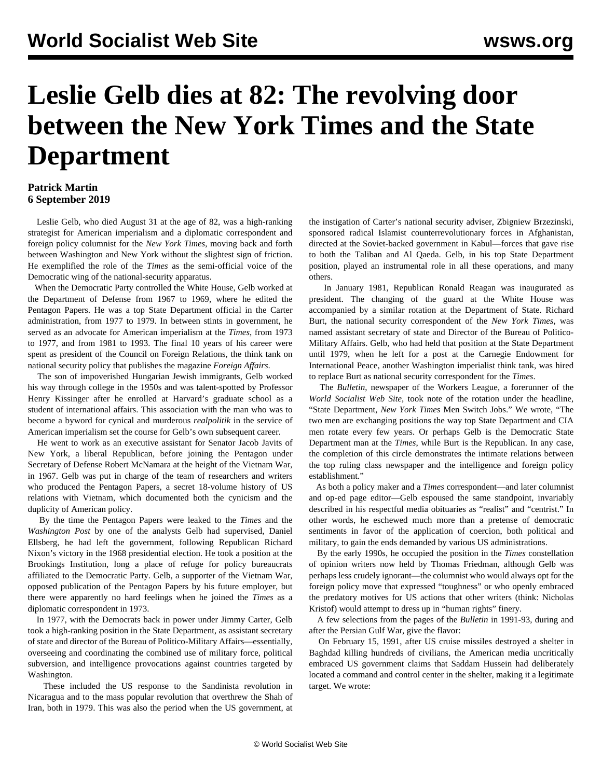## **Leslie Gelb dies at 82: The revolving door between the New York Times and the State Department**

## **Patrick Martin 6 September 2019**

 Leslie Gelb, who died August 31 at the age of 82, was a high-ranking strategist for American imperialism and a diplomatic correspondent and foreign policy columnist for the *New York Times*, moving back and forth between Washington and New York without the slightest sign of friction. He exemplified the role of the *Times* as the semi-official voice of the Democratic wing of the national-security apparatus.

 When the Democratic Party controlled the White House, Gelb worked at the Department of Defense from 1967 to 1969, where he edited the Pentagon Papers. He was a top State Department official in the Carter administration, from 1977 to 1979. In between stints in government, he served as an advocate for American imperialism at the *Times*, from 1973 to 1977, and from 1981 to 1993. The final 10 years of his career were spent as president of the Council on Foreign Relations, the think tank on national security policy that publishes the magazine *Foreign Affairs*.

 The son of impoverished Hungarian Jewish immigrants, Gelb worked his way through college in the 1950s and was talent-spotted by Professor Henry Kissinger after he enrolled at Harvard's graduate school as a student of international affairs. This association with the man who was to become a byword for cynical and murderous *realpolitik* in the service of American imperialism set the course for Gelb's own subsequent career.

 He went to work as an executive assistant for Senator Jacob Javits of New York, a liberal Republican, before joining the Pentagon under Secretary of Defense Robert McNamara at the height of the Vietnam War, in 1967. Gelb was put in charge of the team of researchers and writers who produced the Pentagon Papers, a secret 18-volume history of US relations with Vietnam, which documented both the cynicism and the duplicity of American policy.

 By the time the Pentagon Papers were leaked to the *Times* and the *Washington Post* by one of the analysts Gelb had supervised, Daniel Ellsberg, he had left the government, following Republican Richard Nixon's victory in the 1968 presidential election. He took a position at the Brookings Institution, long a place of refuge for policy bureaucrats affiliated to the Democratic Party. Gelb, a supporter of the Vietnam War, opposed publication of the Pentagon Papers by his future employer, but there were apparently no hard feelings when he joined the *Times* as a diplomatic correspondent in 1973.

 In 1977, with the Democrats back in power under Jimmy Carter, Gelb took a high-ranking position in the State Department, as assistant secretary of state and director of the Bureau of Politico-Military Affairs—essentially, overseeing and coordinating the combined use of military force, political subversion, and intelligence provocations against countries targeted by Washington.

 These included the US response to the Sandinista revolution in Nicaragua and to the mass popular revolution that overthrew the Shah of Iran, both in 1979. This was also the period when the US government, at the instigation of Carter's national security adviser, Zbigniew Brzezinski, sponsored radical Islamist counterrevolutionary forces in Afghanistan, directed at the Soviet-backed government in Kabul—forces that gave rise to both the Taliban and Al Qaeda. Gelb, in his top State Department position, played an instrumental role in all these operations, and many others.

 In January 1981, Republican Ronald Reagan was inaugurated as president. The changing of the guard at the White House was accompanied by a similar rotation at the Department of State. Richard Burt, the national security correspondent of the *New York Times*, was named assistant secretary of state and Director of the Bureau of Politico-Military Affairs. Gelb, who had held that position at the State Department until 1979, when he left for a post at the Carnegie Endowment for International Peace, another Washington imperialist think tank, was hired to replace Burt as national security correspondent for the *Times*.

 The *Bulletin*, newspaper of the Workers League, a forerunner of the *World Socialist Web Site*, took note of the rotation under the headline, "State Department, *New York Times* Men Switch Jobs." We wrote, "The two men are exchanging positions the way top State Department and CIA men rotate every few years. Or perhaps Gelb is the Democratic State Department man at the *Times*, while Burt is the Republican. In any case, the completion of this circle demonstrates the intimate relations between the top ruling class newspaper and the intelligence and foreign policy establishment."

 As both a policy maker and a *Times* correspondent—and later columnist and op-ed page editor—Gelb espoused the same standpoint, invariably described in his respectful media obituaries as "realist" and "centrist." In other words, he eschewed much more than a pretense of democratic sentiments in favor of the application of coercion, both political and military, to gain the ends demanded by various US administrations.

 By the early 1990s, he occupied the position in the *Times* constellation of opinion writers now held by Thomas Friedman, although Gelb was perhaps less crudely ignorant—the columnist who would always opt for the foreign policy move that expressed "toughness" or who openly embraced the predatory motives for US actions that other writers (think: Nicholas Kristof) would attempt to dress up in "human rights" finery.

 A few selections from the pages of the *Bulletin* in 1991-93, during and after the Persian Gulf War, give the flavor:

 On February 15, 1991, after US cruise missiles destroyed a shelter in Baghdad killing hundreds of civilians, the American media uncritically embraced US government claims that Saddam Hussein had deliberately located a command and control center in the shelter, making it a legitimate target. We wrote: